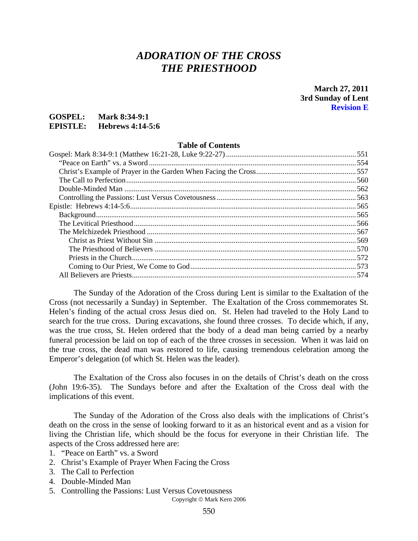# *ADORATION OF THE CROSS THE PRIESTHOOD*

**March 27, 2011 3rd Sunday of Lent Revision E** 

### **GOSPEL: Mark 8:34-9:1 EPISTLE: Hebrews 4:14-5:6**

#### **Table of Contents**

| 574 |
|-----|
|     |

The Sunday of the Adoration of the Cross during Lent is similar to the Exaltation of the Cross (not necessarily a Sunday) in September. The Exaltation of the Cross commemorates St. Helen's finding of the actual cross Jesus died on. St. Helen had traveled to the Holy Land to search for the true cross. During excavations, she found three crosses. To decide which, if any, was the true cross, St. Helen ordered that the body of a dead man being carried by a nearby funeral procession be laid on top of each of the three crosses in secession. When it was laid on the true cross, the dead man was restored to life, causing tremendous celebration among the Emperor's delegation (of which St. Helen was the leader).

The Exaltation of the Cross also focuses in on the details of Christ's death on the cross (John 19:6-35). The Sundays before and after the Exaltation of the Cross deal with the implications of this event.

The Sunday of the Adoration of the Cross also deals with the implications of Christ's death on the cross in the sense of looking forward to it as an historical event and as a vision for living the Christian life, which should be the focus for everyone in their Christian life. The aspects of the Cross addressed here are:

- 1. "Peace on Earth" vs. a Sword
- 2. Christ's Example of Prayer When Facing the Cross
- 3. The Call to Perfection
- 4. Double-Minded Man
- 5. Controlling the Passions: Lust Versus Covetousness

Copyright © Mark Kern 2006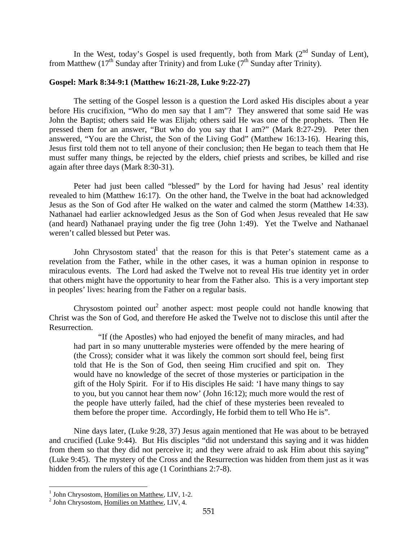In the West, today's Gospel is used frequently, both from Mark  $(2^{nd}$  Sunday of Lent), from Matthew (17<sup>th</sup> Sunday after Trinity) and from Luke ( $7<sup>th</sup>$  Sunday after Trinity).

#### **Gospel: Mark 8:34-9:1 (Matthew 16:21-28, Luke 9:22-27)**

The setting of the Gospel lesson is a question the Lord asked His disciples about a year before His crucifixion, "Who do men say that I am"? They answered that some said He was John the Baptist; others said He was Elijah; others said He was one of the prophets. Then He pressed them for an answer, "But who do you say that I am?" (Mark 8:27-29). Peter then answered, "You are the Christ, the Son of the Living God" (Matthew 16:13-16). Hearing this, Jesus first told them not to tell anyone of their conclusion; then He began to teach them that He must suffer many things, be rejected by the elders, chief priests and scribes, be killed and rise again after three days (Mark 8:30-31).

Peter had just been called "blessed" by the Lord for having had Jesus' real identity revealed to him (Matthew 16:17). On the other hand, the Twelve in the boat had acknowledged Jesus as the Son of God after He walked on the water and calmed the storm (Matthew 14:33). Nathanael had earlier acknowledged Jesus as the Son of God when Jesus revealed that He saw (and heard) Nathanael praying under the fig tree (John 1:49). Yet the Twelve and Nathanael weren't called blessed but Peter was.

John Chrysostom stated<sup>1</sup> that the reason for this is that Peter's statement came as a revelation from the Father, while in the other cases, it was a human opinion in response to miraculous events. The Lord had asked the Twelve not to reveal His true identity yet in order that others might have the opportunity to hear from the Father also. This is a very important step in peoples' lives: hearing from the Father on a regular basis.

Chrysostom pointed out<sup>2</sup> another aspect: most people could not handle knowing that Christ was the Son of God, and therefore He asked the Twelve not to disclose this until after the Resurrection.

"If (the Apostles) who had enjoyed the benefit of many miracles, and had had part in so many unutterable mysteries were offended by the mere hearing of (the Cross); consider what it was likely the common sort should feel, being first told that He is the Son of God, then seeing Him crucified and spit on. They would have no knowledge of the secret of those mysteries or participation in the gift of the Holy Spirit. For if to His disciples He said: 'I have many things to say to you, but you cannot hear them now' (John 16:12); much more would the rest of the people have utterly failed, had the chief of these mysteries been revealed to them before the proper time. Accordingly, He forbid them to tell Who He is".

Nine days later, (Luke 9:28, 37) Jesus again mentioned that He was about to be betrayed and crucified (Luke 9:44). But His disciples "did not understand this saying and it was hidden from them so that they did not perceive it; and they were afraid to ask Him about this saying" (Luke 9:45). The mystery of the Cross and the Resurrection was hidden from them just as it was hidden from the rulers of this age (1 Corinthians 2:7-8).

<sup>&</sup>lt;sup>1</sup> John Chrysostom, <u>Homilies on Matthew,</u> LIV, 1-2.

 $<sup>2</sup>$  John Chrysostom, Homilies on Matthew, LIV, 4.</sup>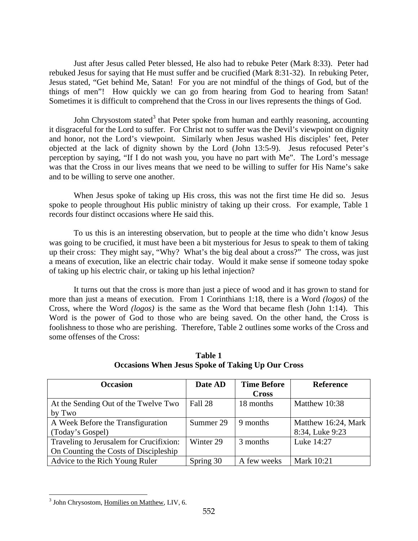Just after Jesus called Peter blessed, He also had to rebuke Peter (Mark 8:33). Peter had rebuked Jesus for saying that He must suffer and be crucified (Mark 8:31-32). In rebuking Peter, Jesus stated, "Get behind Me, Satan! For you are not mindful of the things of God, but of the things of men"! How quickly we can go from hearing from God to hearing from Satan! Sometimes it is difficult to comprehend that the Cross in our lives represents the things of God.

John Chrysostom stated<sup>3</sup> that Peter spoke from human and earthly reasoning, accounting it disgraceful for the Lord to suffer. For Christ not to suffer was the Devil's viewpoint on dignity and honor, not the Lord's viewpoint. Similarly when Jesus washed His disciples' feet, Peter objected at the lack of dignity shown by the Lord (John 13:5-9). Jesus refocused Peter's perception by saying, "If I do not wash you, you have no part with Me". The Lord's message was that the Cross in our lives means that we need to be willing to suffer for His Name's sake and to be willing to serve one another.

When Jesus spoke of taking up His cross, this was not the first time He did so. Jesus spoke to people throughout His public ministry of taking up their cross. For example, Table 1 records four distinct occasions where He said this.

To us this is an interesting observation, but to people at the time who didn't know Jesus was going to be crucified, it must have been a bit mysterious for Jesus to speak to them of taking up their cross: They might say, "Why? What's the big deal about a cross?" The cross, was just a means of execution, like an electric chair today. Would it make sense if someone today spoke of taking up his electric chair, or taking up his lethal injection?

It turns out that the cross is more than just a piece of wood and it has grown to stand for more than just a means of execution. From 1 Corinthians 1:18, there is a Word *(logos)* of the Cross, where the Word *(logos)* is the same as the Word that became flesh (John 1:14). This Word is the power of God to those who are being saved. On the other hand, the Cross is foolishness to those who are perishing. Therefore, Table 2 outlines some works of the Cross and some offenses of the Cross:

| <b>Occasion</b>                         | Date AD   | <b>Time Before</b> | <b>Reference</b>    |
|-----------------------------------------|-----------|--------------------|---------------------|
|                                         |           | <b>Cross</b>       |                     |
| At the Sending Out of the Twelve Two    | Fall 28   | 18 months          | Matthew 10:38       |
| by Two                                  |           |                    |                     |
| A Week Before the Transfiguration       | Summer 29 | 9 months           | Matthew 16:24, Mark |
| (Today's Gospel)                        |           |                    | 8:34, Luke 9:23     |
| Traveling to Jerusalem for Crucifixion: | Winter 29 | 3 months           | Luke 14:27          |
| On Counting the Costs of Discipleship   |           |                    |                     |
| Advice to the Rich Young Ruler          | Spring 30 | A few weeks        | Mark 10:21          |

**Table 1 Occasions When Jesus Spoke of Taking Up Our Cross** 

<sup>&</sup>lt;sup>3</sup> John Chrysostom, Homilies on Matthew, LIV, 6.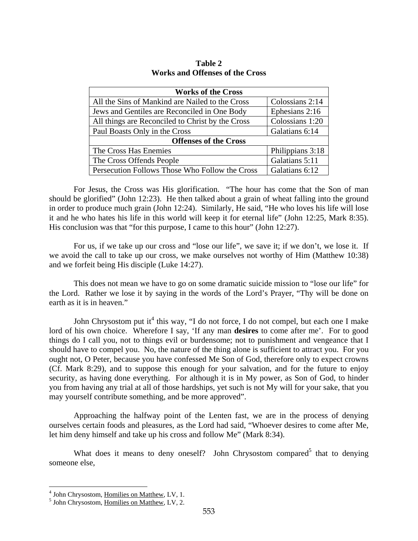| <b>Works of the Cross</b>                        |                  |  |  |
|--------------------------------------------------|------------------|--|--|
| All the Sins of Mankind are Nailed to the Cross  | Colossians 2:14  |  |  |
| Jews and Gentiles are Reconciled in One Body     | Ephesians 2:16   |  |  |
| All things are Reconciled to Christ by the Cross | Colossians 1:20  |  |  |
| Paul Boasts Only in the Cross                    | Galatians 6:14   |  |  |
| <b>Offenses of the Cross</b>                     |                  |  |  |
| The Cross Has Enemies                            | Philippians 3:18 |  |  |
| The Cross Offends People                         | Galatians 5:11   |  |  |
| Persecution Follows Those Who Follow the Cross   | Galatians 6:12   |  |  |

**Table 2 Works and Offenses of the Cross** 

For Jesus, the Cross was His glorification. "The hour has come that the Son of man should be glorified" (John 12:23). He then talked about a grain of wheat falling into the ground in order to produce much grain (John 12:24). Similarly, He said, "He who loves his life will lose it and he who hates his life in this world will keep it for eternal life" (John 12:25, Mark 8:35). His conclusion was that "for this purpose, I came to this hour" (John 12:27).

For us, if we take up our cross and "lose our life", we save it; if we don't, we lose it. If we avoid the call to take up our cross, we make ourselves not worthy of Him (Matthew 10:38) and we forfeit being His disciple (Luke 14:27).

This does not mean we have to go on some dramatic suicide mission to "lose our life" for the Lord. Rather we lose it by saying in the words of the Lord's Prayer, "Thy will be done on earth as it is in heaven."

John Chrysostom put it<sup>4</sup> this way, "I do not force, I do not compel, but each one I make lord of his own choice. Wherefore I say, 'If any man **desires** to come after me'. For to good things do I call you, not to things evil or burdensome; not to punishment and vengeance that I should have to compel you. No, the nature of the thing alone is sufficient to attract you. For you ought not, O Peter, because you have confessed Me Son of God, therefore only to expect crowns (Cf. Mark 8:29), and to suppose this enough for your salvation, and for the future to enjoy security, as having done everything. For although it is in My power, as Son of God, to hinder you from having any trial at all of those hardships, yet such is not My will for your sake, that you may yourself contribute something, and be more approved".

Approaching the halfway point of the Lenten fast, we are in the process of denying ourselves certain foods and pleasures, as the Lord had said, "Whoever desires to come after Me, let him deny himself and take up his cross and follow Me" (Mark 8:34).

What does it means to deny oneself? John Chrysostom compared<sup>5</sup> that to denying someone else,

 4 John Chrysostom, Homilies on Matthew, LV, 1. 5

 $<sup>5</sup>$  John Chrysostom, Homilies on Matthew, LV, 2.</sup>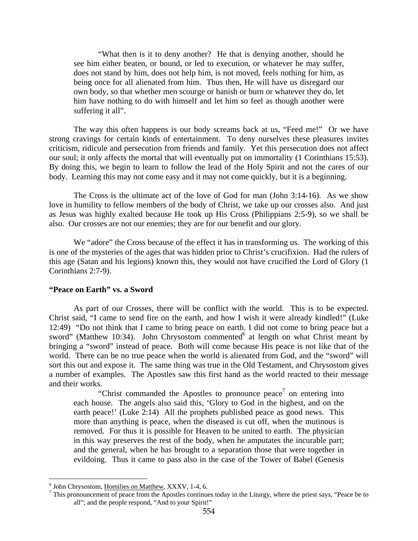"What then is it to deny another? He that is denying another, should he see him either beaten, or bound, or led to execution, or whatever he may suffer, does not stand by him, does not help him, is not moved, feels nothing for him, as being once for all alienated from him. Thus then, He will have us disregard our own body, so that whether men scourge or banish or burn or whatever they do, let him have nothing to do with himself and let him so feel as though another were suffering it all".

The way this often happens is our body screams back at us, "Feed me!" Or we have strong cravings for certain kinds of entertainment. To deny ourselves these pleasures invites criticism, ridicule and persecution from friends and family. Yet this persecution does not affect our soul; it only affects the mortal that will eventually put on immortality (1 Corinthians 15:53). By doing this, we begin to learn to follow the lead of the Holy Spirit and not the cares of our body. Learning this may not come easy and it may not come quickly, but it is a beginning.

The Cross is the ultimate act of the love of God for man (John 3:14-16). As we show love in humility to fellow members of the body of Christ, we take up our crosses also. And just as Jesus was highly exalted because He took up His Cross (Philippians 2:5-9), so we shall be also. Our crosses are not our enemies; they are for our benefit and our glory.

We "adore" the Cross because of the effect it has in transforming us. The working of this is one of the mysteries of the ages that was hidden prior to Christ's crucifixion. Had the rulers of this age (Satan and his legions) known this, they would not have crucified the Lord of Glory (1 Corinthians 2:7-9).

### **"Peace on Earth" vs. a Sword**

As part of our Crosses, there will be conflict with the world. This is to be expected. Christ said, "I came to send fire on the earth, and how I wish it were already kindled!" (Luke 12:49) "Do not think that I came to bring peace on earth. I did not come to bring peace but a sword" (Matthew 10:34). John Chrysostom commented $6$  at length on what Christ meant by bringing a "sword" instead of peace. Both will come because His peace is not like that of the world. There can be no true peace when the world is alienated from God, and the "sword" will sort this out and expose it. The same thing was true in the Old Testament, and Chrysostom gives a number of examples. The Apostles saw this first hand as the world reacted to their message and their works.

"Christ commanded the Apostles to pronounce peace<sup>7</sup> on entering into each house. The angels also said this, 'Glory to God in the highest, and on the earth peace!' (Luke 2:14) All the prophets published peace as good news. This more than anything is peace, when the diseased is cut off, when the mutinous is removed. For thus it is possible for Heaven to be united to earth. The physician in this way preserves the rest of the body, when he amputates the incurable part; and the general, when he has brought to a separation those that were together in evildoing. Thus it came to pass also in the case of the Tower of Babel (Genesis

 $^6$  John Chrysostom, <u>Homilies on Matthew</u>, XXXV, 1-4, 6.

 $\frac{7}{1}$  This pronouncement of peace from the Apostles continues today in the Liturgy, where the priest says, "Peace be to all"; and the people respond, "And to your Spirit!"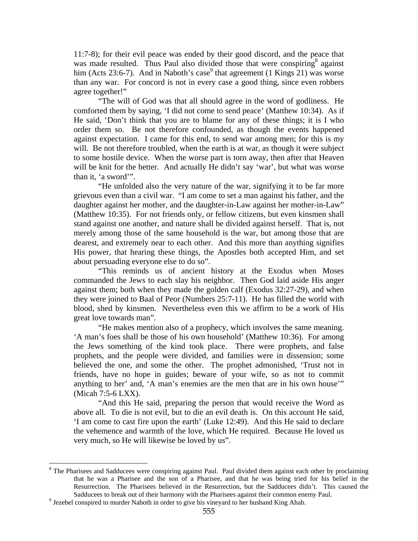11:7-8); for their evil peace was ended by their good discord, and the peace that was made resulted. Thus Paul also divided those that were conspiring<sup>8</sup> against him (Acts 23:6-7). And in Naboth's case<sup>9</sup> that agreement (1 Kings 21) was worse than any war. For concord is not in every case a good thing, since even robbers agree together!"

"The will of God was that all should agree in the word of godliness. He comforted them by saying, 'I did not come to send peace' (Matthew 10:34). As if He said, 'Don't think that you are to blame for any of these things; it is I who order them so. Be not therefore confounded, as though the events happened against expectation. I came for this end, to send war among men; for this is my will. Be not therefore troubled, when the earth is at war, as though it were subject to some hostile device. When the worse part is torn away, then after that Heaven will be knit for the better. And actually He didn't say 'war', but what was worse than it, 'a sword'".

"He unfolded also the very nature of the war, signifying it to be far more grievous even than a civil war. "I am come to set a man against his father, and the daughter against her mother, and the daughter-in-Law against her mother-in-Law" (Matthew 10:35). For not friends only, or fellow citizens, but even kinsmen shall stand against one another, and nature shall be divided against herself. That is, not merely among those of the same household is the war, but among those that are dearest, and extremely near to each other. And this more than anything signifies His power, that hearing these things, the Apostles both accepted Him, and set about persuading everyone else to do so".

"This reminds us of ancient history at the Exodus when Moses commanded the Jews to each slay his neighbor. Then God laid aside His anger against them; both when they made the golden calf (Exodus 32:27-29), and when they were joined to Baal of Peor (Numbers 25:7-11). He has filled the world with blood, shed by kinsmen. Nevertheless even this we affirm to be a work of His great love towards man".

"He makes mention also of a prophecy, which involves the same meaning. 'A man's foes shall be those of his own household' (Matthew 10:36). For among the Jews something of the kind took place. There were prophets, and false prophets, and the people were divided, and families were in dissension; some believed the one, and some the other. The prophet admonished, 'Trust not in friends, have no hope in guides; beware of your wife, so as not to commit anything to her' and, 'A man's enemies are the men that are in his own house'" (Micah 7:5-6 LXX).

"And this He said, preparing the person that would receive the Word as above all. To die is not evil, but to die an evil death is. On this account He said, 'I am come to cast fire upon the earth' (Luke 12:49). And this He said to declare the vehemence and warmth of the love, which He required. Because He loved us very much, so He will likewise be loved by us".

<sup>&</sup>lt;sup>8</sup> The Pharisees and Sadducees were conspiring against Paul. Paul divided them against each other by proclaiming that he was a Pharisee and the son of a Pharisee, and that he was being tried for his belief in the Resurrection. The Pharisees believed in the Resurrection, but the Sadducees didn't. This caused the Sadducees to break out of their harmony with the Pharisees against their common enemy Paul.

 $9$  Jezebel conspired to murder Naboth in order to give his vineyard to her husband King Ahab.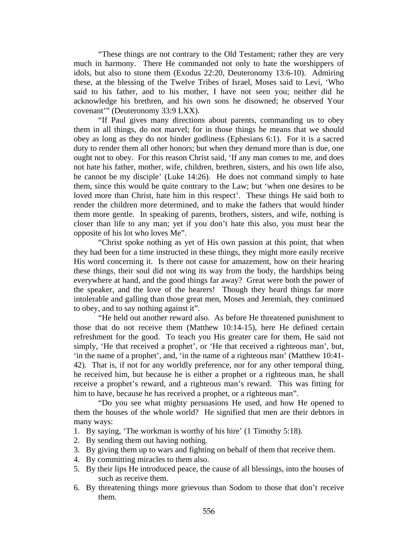"These things are not contrary to the Old Testament; rather they are very much in harmony. There He commanded not only to hate the worshippers of idols, but also to stone them (Exodus 22:20, Deuteronomy 13:6-10). Admiring these, at the blessing of the Twelve Tribes of Israel, Moses said to Levi, 'Who said to his father, and to his mother, I have not seen you; neither did he acknowledge his brethren, and his own sons he disowned; he observed Your covenant'" (Deuteronomy 33:9 LXX).

"If Paul gives many directions about parents, commanding us to obey them in all things, do not marvel; for in those things he means that we should obey as long as they do not hinder godliness (Ephesians 6:1). For it is a sacred duty to render them all other honors; but when they demand more than is due, one ought not to obey. For this reason Christ said, 'If any man comes to me, and does not hate his father, mother, wife, children, brethren, sisters, and his own life also, he cannot be my disciple' (Luke 14:26). He does not command simply to hate them, since this would be quite contrary to the Law; but 'when one desires to be loved more than Christ, hate him in this respect'. These things He said both to render the children more determined, and to make the fathers that would hinder them more gentle. In speaking of parents, brothers, sisters, and wife, nothing is closer than life to any man; yet if you don't hate this also, you must bear the opposite of his lot who loves Me".

"Christ spoke nothing as yet of His own passion at this point, that when they had been for a time instructed in these things, they might more easily receive His word concerning it. Is there not cause for amazement, how on their hearing these things, their soul did not wing its way from the body, the hardships being everywhere at hand, and the good things far away? Great were both the power of the speaker, and the love of the hearers! Though they heard things far more intolerable and galling than those great men, Moses and Jeremiah, they continued to obey, and to say nothing against it".

"He held out another reward also. As before He threatened punishment to those that do not receive them (Matthew 10:14-15), here He defined certain refreshment for the good. To teach you His greater care for them, He said not simply, 'He that received a prophet', or 'He that received a righteous man', but, 'in the name of a prophet', and, 'in the name of a righteous man' (Matthew 10:41- 42). That is, if not for any worldly preference, nor for any other temporal thing, he received him, but because he is either a prophet or a righteous man, he shall receive a prophet's reward, and a righteous man's reward. This was fitting for him to have, because he has received a prophet, or a righteous man".

"Do you see what mighty persuasions He used, and how He opened to them the houses of the whole world? He signified that men are their debtors in many ways:

- 1. By saying, 'The workman is worthy of his hire' (1 Timothy 5:18).
- 2. By sending them out having nothing.
- 3. By giving them up to wars and fighting on behalf of them that receive them.
- 4. By committing miracles to them also.
- 5. By their lips He introduced peace, the cause of all blessings, into the houses of such as receive them.
- 6. By threatening things more grievous than Sodom to those that don't receive them.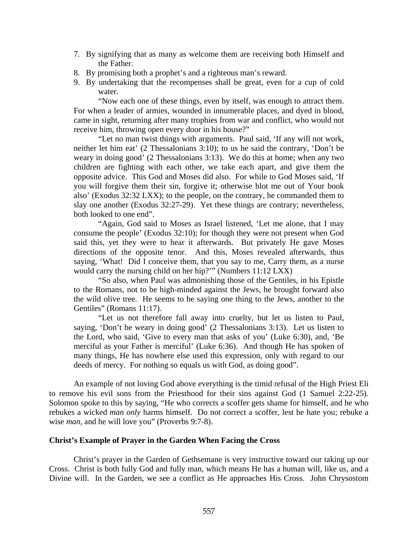- 7. By signifying that as many as welcome them are receiving both Himself and the Father.
- 8. By promising both a prophet's and a righteous man's reward.
- 9. By undertaking that the recompenses shall be great, even for a cup of cold water.

"Now each one of these things, even by itself, was enough to attract them. For when a leader of armies, wounded in innumerable places, and dyed in blood, came in sight, returning after many trophies from war and conflict, who would not receive him, throwing open every door in his house?"

"Let no man twist things with arguments. Paul said, 'If any will not work, neither let him eat' (2 Thessalonians 3:10); to us he said the contrary, 'Don't be weary in doing good' (2 Thessalonians 3:13). We do this at home; when any two children are fighting with each other, we take each apart, and give them the opposite advice. This God and Moses did also. For while to God Moses said, 'If you will forgive them their sin, forgive it; otherwise blot me out of Your book also' (Exodus 32:32 LXX); to the people, on the contrary, he commanded them to slay one another (Exodus 32:27-29). Yet these things are contrary; nevertheless, both looked to one end".

"Again, God said to Moses as Israel listened, 'Let me alone, that I may consume the people' (Exodus 32:10); for though they were not present when God said this, yet they were to hear it afterwards. But privately He gave Moses directions of the opposite tenor. And this, Moses revealed afterwards, thus saying, 'What! Did I conceive them, that you say to me, Carry them, as a nurse would carry the nursing child on her hip?'" (Numbers 11:12 LXX)

"So also, when Paul was admonishing those of the Gentiles, in his Epistle to the Romans, not to be high-minded against the Jews, he brought forward also the wild olive tree. He seems to be saying one thing to the Jews, another to the Gentiles" (Romans 11:17).

"Let us not therefore fall away into cruelty, but let us listen to Paul, saying, 'Don't be weary in doing good' (2 Thessalonians 3:13). Let us listen to the Lord, who said, 'Give to every man that asks of you' (Luke 6:30), and, 'Be merciful as your Father is merciful' (Luke 6:36). And though He has spoken of many things, He has nowhere else used this expression, only with regard to our deeds of mercy. For nothing so equals us with God, as doing good".

An example of not loving God above everything is the timid refusal of the High Priest Eli to remove his evil sons from the Priesthood for their sins against God (1 Samuel 2:22-25). Solomon spoke to this by saying, "He who corrects a scoffer gets shame for himself, and he who rebukes a wicked *man only* harms himself. Do not correct a scoffer, lest he hate you; rebuke a wise *man,* and he will love you" (Proverbs 9:7-8).

#### **Christ's Example of Prayer in the Garden When Facing the Cross**

Christ's prayer in the Garden of Gethsemane is very instructive toward our taking up our Cross. Christ is both fully God and fully man, which means He has a human will, like us, and a Divine will. In the Garden, we see a conflict as He approaches His Cross. John Chrysostom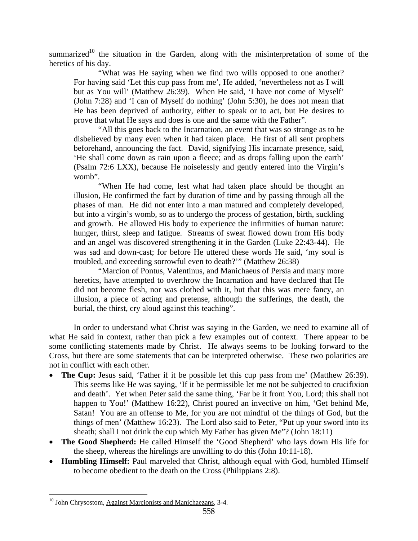summarized<sup>10</sup> the situation in the Garden, along with the misinterpretation of some of the heretics of his day.

"What was He saying when we find two wills opposed to one another? For having said 'Let this cup pass from me', He added, 'nevertheless not as I will but as You will' (Matthew 26:39). When He said, 'I have not come of Myself' (John 7:28) and 'I can of Myself do nothing' (John 5:30), he does not mean that He has been deprived of authority, either to speak or to act, but He desires to prove that what He says and does is one and the same with the Father".

"All this goes back to the Incarnation, an event that was so strange as to be disbelieved by many even when it had taken place. He first of all sent prophets beforehand, announcing the fact. David, signifying His incarnate presence, said, 'He shall come down as rain upon a fleece; and as drops falling upon the earth' (Psalm 72:6 LXX), because He noiselessly and gently entered into the Virgin's womb".

"When He had come, lest what had taken place should be thought an illusion, He confirmed the fact by duration of time and by passing through all the phases of man. He did not enter into a man matured and completely developed, but into a virgin's womb, so as to undergo the process of gestation, birth, suckling and growth. He allowed His body to experience the infirmities of human nature: hunger, thirst, sleep and fatigue. Streams of sweat flowed down from His body and an angel was discovered strengthening it in the Garden (Luke 22:43-44). He was sad and down-cast; for before He uttered these words He said, 'my soul is troubled, and exceeding sorrowful even to death?'" (Matthew 26:38)

"Marcion of Pontus, Valentinus, and Manichaeus of Persia and many more heretics, have attempted to overthrow the Incarnation and have declared that He did not become flesh, nor was clothed with it, but that this was mere fancy, an illusion, a piece of acting and pretense, although the sufferings, the death, the burial, the thirst, cry aloud against this teaching".

In order to understand what Christ was saying in the Garden, we need to examine all of what He said in context, rather than pick a few examples out of context. There appear to be some conflicting statements made by Christ. He always seems to be looking forward to the Cross, but there are some statements that can be interpreted otherwise. These two polarities are not in conflict with each other.

- **The Cup:** Jesus said, 'Father if it be possible let this cup pass from me' (Matthew 26:39). This seems like He was saying, 'If it be permissible let me not be subjected to crucifixion and death'. Yet when Peter said the same thing, 'Far be it from You, Lord; this shall not happen to You!' (Matthew 16:22), Christ poured an invective on him, 'Get behind Me, Satan! You are an offense to Me, for you are not mindful of the things of God, but the things of men' (Matthew 16:23). The Lord also said to Peter, "Put up your sword into its sheath; shall I not drink the cup which My Father has given Me"? (John 18:11)
- **The Good Shepherd:** He called Himself the 'Good Shepherd' who lays down His life for the sheep, whereas the hirelings are unwilling to do this (John 10:11-18).
- **Humbling Himself:** Paul marveled that Christ, although equal with God, humbled Himself to become obedient to the death on the Cross (Philippians 2:8).

<sup>&</sup>lt;sup>10</sup> John Chrysostom, Against Marcionists and Manichaezans, 3-4.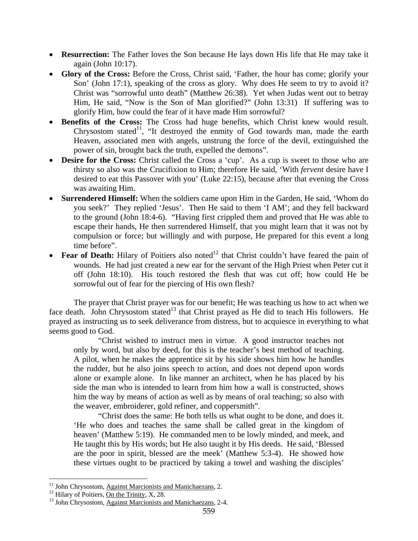- **Resurrection:** The Father loves the Son because He lays down His life that He may take it again (John 10:17).
- **Glory of the Cross:** Before the Cross, Christ said, 'Father, the hour has come; glorify your Son' (John 17:1), speaking of the cross as glory. Why does He seem to try to avoid it? Christ was "sorrowful unto death" (Matthew 26:38). Yet when Judas went out to betray Him, He said, "Now is the Son of Man glorified?" (John 13:31) If suffering was to glorify Him, how could the fear of it have made Him sorrowful?
- **Benefits of the Cross:** The Cross had huge benefits, which Christ knew would result. Chrysostom stated<sup>11</sup>, "It destroyed the enmity of God towards man, made the earth Heaven, associated men with angels, unstrung the force of the devil, extinguished the power of sin, brought back the truth, expelled the demons".
- **Desire for the Cross:** Christ called the Cross a 'cup'. As a cup is sweet to those who are thirsty so also was the Crucifixion to Him; therefore He said, 'With *fervent* desire have I desired to eat this Passover with you' (Luke 22:15), because after that evening the Cross was awaiting Him.
- **Surrendered Himself:** When the soldiers came upon Him in the Garden, He said, 'Whom do you seek?' They replied 'Jesus'. Then He said to them 'I AM'; and they fell backward to the ground (John 18:4-6). "Having first crippled them and proved that He was able to escape their hands, He then surrendered Himself, that you might learn that it was not by compulsion or force; but willingly and with purpose, He prepared for this event a long time before".
- **Fear of Death:** Hilary of Poitiers also noted<sup>12</sup> that Christ couldn't have feared the pain of wounds. He had just created a new ear for the servant of the High Priest when Peter cut it off (John 18:10). His touch restored the flesh that was cut off; how could He be sorrowful out of fear for the piercing of His own flesh?

The prayer that Christ prayer was for our benefit; He was teaching us how to act when we face death. John Chrysostom stated<sup>13</sup> that Christ prayed as He did to teach His followers. He prayed as instructing us to seek deliverance from distress, but to acquiesce in everything to what seems good to God.

"Christ wished to instruct men in virtue. A good instructor teaches not only by word, but also by deed, for this is the teacher's best method of teaching. A pilot, when he makes the apprentice sit by his side shows him how he handles the rudder, but he also joins speech to action, and does not depend upon words alone or example alone. In like manner an architect, when he has placed by his side the man who is intended to learn from him how a wall is constructed, shows him the way by means of action as well as by means of oral teaching; so also with the weaver, embroiderer, gold refiner, and coppersmith".

"Christ does the same: He both tells us what ought to be done, and does it. 'He who does and teaches the same shall be called great in the kingdom of heaven' (Matthew 5:19). He commanded men to be lowly minded, and meek, and He taught this by His words; but He also taught it by His deeds. He said, 'Blessed are the poor in spirit, blessed are the meek' (Matthew 5:3-4). He showed how these virtues ought to be practiced by taking a towel and washing the disciples'

<sup>&</sup>lt;sup>11</sup> John Chrysostom, Against Marcionists and Manichaezans, 2.

<sup>&</sup>lt;sup>12</sup> Hilary of Poitiers,  $\overline{\text{On the Trinity, X, 28}}$ .<br><sup>13</sup> John Chrysostom, Against Marcionists and Manichaezans, 2-4.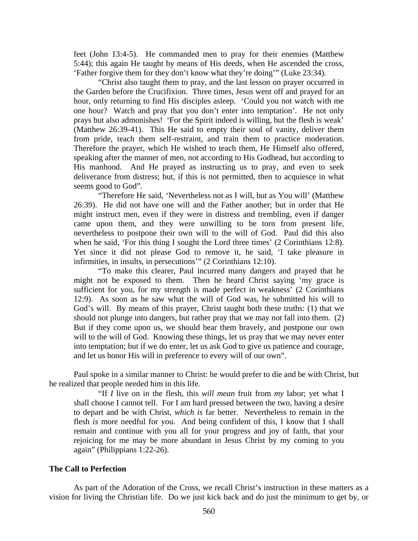feet (John 13:4-5). He commanded men to pray for their enemies (Matthew 5:44); this again He taught by means of His deeds, when He ascended the cross, 'Father forgive them for they don't know what they're doing'" (Luke 23:34).

"Christ also taught them to pray, and the last lesson on prayer occurred in the Garden before the Crucifixion. Three times, Jesus went off and prayed for an hour, only returning to find His disciples asleep. 'Could you not watch with me one hour? Watch and pray that you don't enter into temptation'. He not only prays but also admonishes! 'For the Spirit indeed is willing, but the flesh is weak' (Matthew 26:39-41). This He said to empty their soul of vanity, deliver them from pride, teach them self-restraint, and train them to practice moderation. Therefore the prayer, which He wished to teach them, He Himself also offered, speaking after the manner of men, not according to His Godhead, but according to His manhood. And He prayed as instructing us to pray, and even to seek deliverance from distress; but, if this is not permitted, then to acquiesce in what seems good to God".

"Therefore He said, 'Nevertheless not as I will, but as You will' (Matthew 26:39). He did not have one will and the Father another; but in order that He might instruct men, even if they were in distress and trembling, even if danger came upon them, and they were unwilling to be torn from present life, nevertheless to postpone their own will to the will of God. Paul did this also when he said, 'For this thing I sought the Lord three times' (2 Corinthians 12:8). Yet since it did not please God to remove it, he said, 'I take pleasure in infirmities, in insults, in persecutions'" (2 Corinthians 12:10).

"To make this clearer, Paul incurred many dangers and prayed that he might not be exposed to them. Then he heard Christ saying 'my grace is sufficient for you, for my strength is made perfect in weakness' (2 Corinthians 12:9). As soon as he saw what the will of God was, he submitted his will to God's will. By means of this prayer, Christ taught both these truths: (1) that we should not plunge into dangers, but rather pray that we may not fall into them. (2) But if they come upon us, we should bear them bravely, and postpone our own will to the will of God. Knowing these things, let us pray that we may never enter into temptation; but if we do enter, let us ask God to give us patience and courage, and let us honor His will in preference to every will of our own".

Paul spoke in a similar manner to Christ: he would prefer to die and be with Christ, but he realized that people needed him in this life.

"If *I* live on in the flesh, this *will mean* fruit from *my* labor; yet what I shall choose I cannot tell. For I am hard pressed between the two, having a desire to depart and be with Christ, *which is* far better. Nevertheless to remain in the flesh *is* more needful for you. And being confident of this, I know that I shall remain and continue with you all for your progress and joy of faith, that your rejoicing for me may be more abundant in Jesus Christ by my coming to you again" (Philippians 1:22-26).

#### **The Call to Perfection**

As part of the Adoration of the Cross, we recall Christ's instruction in these matters as a vision for living the Christian life. Do we just kick back and do just the minimum to get by, or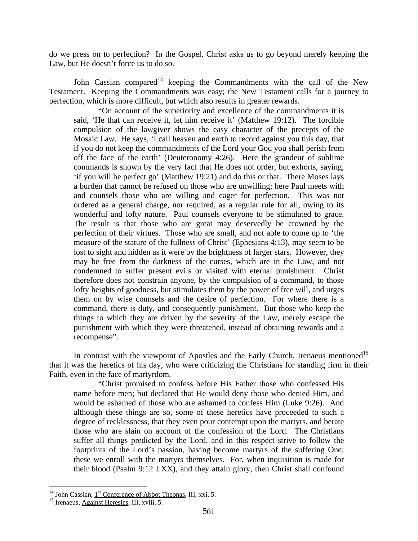do we press on to perfection? In the Gospel, Christ asks us to go beyond merely keeping the Law, but He doesn't force us to do so.

John Cassian compared<sup>14</sup> keeping the Commandments with the call of the New Testament. Keeping the Commandments was easy; the New Testament calls for a journey to perfection, which is more difficult, but which also results in greater rewards.

"On account of the superiority and excellence of the commandments it is said, 'He that can receive it, let him receive it' (Matthew 19:12). The forcible compulsion of the lawgiver shows the easy character of the precepts of the Mosaic Law. He says, 'I call heaven and earth to record against you this day, that if you do not keep the commandments of the Lord your God you shall perish from off the face of the earth' (Deuteronomy 4:26). Here the grandeur of sublime commands is shown by the very fact that He does not order, but exhorts, saying, 'if you will be perfect go' (Matthew 19:21) and do this or that. There Moses lays a burden that cannot be refused on those who are unwilling; here Paul meets with and counsels those who are willing and eager for perfection. This was not ordered as a general charge, nor required, as a regular rule for all, owing to its wonderful and lofty nature. Paul counsels everyone to be stimulated to grace. The result is that those who are great may deservedly be crowned by the perfection of their virtues. Those who are small, and not able to come up to 'the measure of the stature of the fullness of Christ' (Ephesians 4:13), may seem to be lost to sight and hidden as it were by the brightness of larger stars. However, they may be free from the darkness of the curses, which are in the Law, and not condemned to suffer present evils or visited with eternal punishment. Christ therefore does not constrain anyone, by the compulsion of a command, to those lofty heights of goodness, but stimulates them by the power of free will, and urges them on by wise counsels and the desire of perfection. For where there is a command, there is duty, and consequently punishment. But those who keep the things to which they are driven by the severity of the Law, merely escape the punishment with which they were threatened, instead of obtaining rewards and a recompense".

In contrast with the viewpoint of Apostles and the Early Church, Irenaeus mentioned<sup>15</sup> that it was the heretics of his day, who were criticizing the Christians for standing firm in their Faith, even in the face of martyrdom.

"Christ promised to confess before His Father those who confessed His name before men; but declared that He would deny those who denied Him, and would be ashamed of those who are ashamed to confess Him (Luke 9:26). And although these things are so, some of these heretics have proceeded to such a degree of recklessness, that they even pour contempt upon the martyrs, and berate those who are slain on account of the confession of the Lord. The Christians suffer all things predicted by the Lord, and in this respect strive to follow the footprints of the Lord's passion, having become martyrs of the suffering One; these we enroll with the martyrs themselves. For, when inquisition is made for their blood (Psalm 9:12 LXX), and they attain glory, then Christ shall confound

1

<sup>&</sup>lt;sup>14</sup> John Cassian, <u>1<sup>st</sup> Conference of Abbot Theonas</u>, III, xxi, 5.<br><sup>15</sup> Irenaeus, <u>Against Heresies</u>, III, xviii, 5.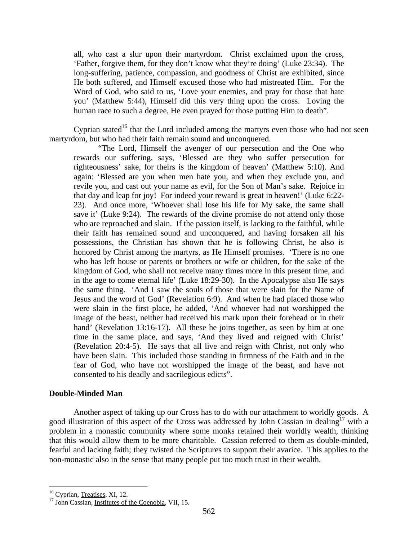all, who cast a slur upon their martyrdom. Christ exclaimed upon the cross, 'Father, forgive them, for they don't know what they're doing' (Luke 23:34). The long-suffering, patience, compassion, and goodness of Christ are exhibited, since He both suffered, and Himself excused those who had mistreated Him. For the Word of God, who said to us, 'Love your enemies, and pray for those that hate you' (Matthew 5:44), Himself did this very thing upon the cross. Loving the human race to such a degree, He even prayed for those putting Him to death".

Cyprian stated<sup>16</sup> that the Lord included among the martyrs even those who had not seen martyrdom, but who had their faith remain sound and unconquered.

"The Lord, Himself the avenger of our persecution and the One who rewards our suffering, says, 'Blessed are they who suffer persecution for righteousness' sake, for theirs is the kingdom of heaven' (Matthew 5:10). And again: 'Blessed are you when men hate you, and when they exclude you, and revile you, and cast out your name as evil, for the Son of Man's sake. Rejoice in that day and leap for joy! For indeed your reward is great in heaven!' (Luke 6:22- 23). And once more, 'Whoever shall lose his life for My sake, the same shall save it' (Luke 9:24). The rewards of the divine promise do not attend only those who are reproached and slain. If the passion itself, is lacking to the faithful, while their faith has remained sound and unconquered, and having forsaken all his possessions, the Christian has shown that he is following Christ, he also is honored by Christ among the martyrs, as He Himself promises. 'There is no one who has left house or parents or brothers or wife or children, for the sake of the kingdom of God, who shall not receive many times more in this present time, and in the age to come eternal life' (Luke 18:29-30). In the Apocalypse also He says the same thing. 'And I saw the souls of those that were slain for the Name of Jesus and the word of God' (Revelation 6:9). And when he had placed those who were slain in the first place, he added, 'And whoever had not worshipped the image of the beast, neither had received his mark upon their forehead or in their hand' (Revelation 13:16-17). All these he joins together, as seen by him at one time in the same place, and says, 'And they lived and reigned with Christ' (Revelation 20:4-5). He says that all live and reign with Christ, not only who have been slain. This included those standing in firmness of the Faith and in the fear of God, who have not worshipped the image of the beast, and have not consented to his deadly and sacrilegious edicts".

#### **Double-Minded Man**

Another aspect of taking up our Cross has to do with our attachment to worldly goods. A good illustration of this aspect of the Cross was addressed by John Cassian in dealing<sup>17</sup> with a problem in a monastic community where some monks retained their worldly wealth, thinking that this would allow them to be more charitable. Cassian referred to them as double-minded, fearful and lacking faith; they twisted the Scriptures to support their avarice. This applies to the non-monastic also in the sense that many people put too much trust in their wealth.

1

<sup>&</sup>lt;sup>16</sup> Cyprian, <u>Treatises</u>, XI, 12.<br><sup>17</sup> John Cassian, <u>Institutes of the Coenobia</u>, VII, 15.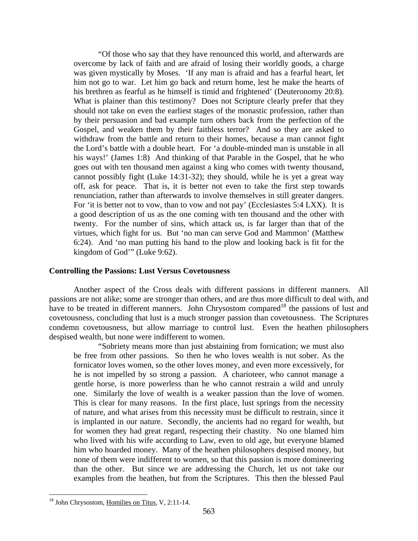"Of those who say that they have renounced this world, and afterwards are overcome by lack of faith and are afraid of losing their worldly goods, a charge was given mystically by Moses. 'If any man is afraid and has a fearful heart, let him not go to war. Let him go back and return home, lest he make the hearts of his brethren as fearful as he himself is timid and frightened' (Deuteronomy 20:8). What is plainer than this testimony? Does not Scripture clearly prefer that they should not take on even the earliest stages of the monastic profession, rather than by their persuasion and bad example turn others back from the perfection of the Gospel, and weaken them by their faithless terror? And so they are asked to withdraw from the battle and return to their homes, because a man cannot fight the Lord's battle with a double heart. For 'a double-minded man is unstable in all his ways!' (James 1:8) And thinking of that Parable in the Gospel, that he who goes out with ten thousand men against a king who comes with twenty thousand, cannot possibly fight (Luke 14:31-32); they should, while he is yet a great way off, ask for peace. That is, it is better not even to take the first step towards renunciation, rather than afterwards to involve themselves in still greater dangers. For 'it is better not to vow, than to vow and not pay' (Ecclesiastes 5:4 LXX). It is a good description of us as the one coming with ten thousand and the other with twenty. For the number of sins, which attack us, is far larger than that of the virtues, which fight for us. But 'no man can serve God and Mammon' (Matthew 6:24). And 'no man putting his hand to the plow and looking back is fit for the kingdom of God'" (Luke 9:62).

#### **Controlling the Passions: Lust Versus Covetousness**

Another aspect of the Cross deals with different passions in different manners. All passions are not alike; some are stronger than others, and are thus more difficult to deal with, and have to be treated in different manners. John Chrysostom compared<sup>18</sup> the passions of lust and covetousness, concluding that lust is a much stronger passion than covetousness. The Scriptures condemn covetousness, but allow marriage to control lust. Even the heathen philosophers despised wealth, but none were indifferent to women.

"Sobriety means more than just abstaining from fornication; we must also be free from other passions. So then he who loves wealth is not sober. As the fornicator loves women, so the other loves money, and even more excessively, for he is not impelled by so strong a passion. A charioteer, who cannot manage a gentle horse, is more powerless than he who cannot restrain a wild and unruly one. Similarly the love of wealth is a weaker passion than the love of women. This is clear for many reasons. In the first place, lust springs from the necessity of nature, and what arises from this necessity must be difficult to restrain, since it is implanted in our nature. Secondly, the ancients had no regard for wealth, but for women they had great regard, respecting their chastity. No one blamed him who lived with his wife according to Law, even to old age, but everyone blamed him who hoarded money. Many of the heathen philosophers despised money, but none of them were indifferent to women, so that this passion is more domineering than the other. But since we are addressing the Church, let us not take our examples from the heathen, but from the Scriptures. This then the blessed Paul

<sup>&</sup>lt;sup>18</sup> John Chrysostom, Homilies on Titus, V, 2:11-14.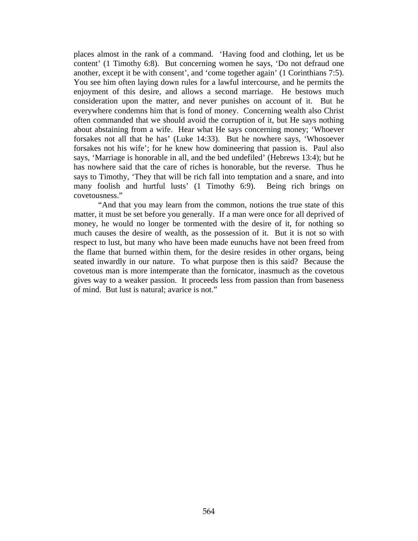places almost in the rank of a command. 'Having food and clothing, let us be content' (1 Timothy 6:8). But concerning women he says, 'Do not defraud one another, except it be with consent', and 'come together again' (1 Corinthians 7:5). You see him often laying down rules for a lawful intercourse, and he permits the enjoyment of this desire, and allows a second marriage. He bestows much consideration upon the matter, and never punishes on account of it. But he everywhere condemns him that is fond of money. Concerning wealth also Christ often commanded that we should avoid the corruption of it, but He says nothing about abstaining from a wife. Hear what He says concerning money; 'Whoever forsakes not all that he has' (Luke 14:33). But he nowhere says, 'Whosoever forsakes not his wife'; for he knew how domineering that passion is. Paul also says, 'Marriage is honorable in all, and the bed undefiled' (Hebrews 13:4); but he has nowhere said that the care of riches is honorable, but the reverse. Thus he says to Timothy, 'They that will be rich fall into temptation and a snare, and into many foolish and hurtful lusts' (1 Timothy 6:9). Being rich brings on covetousness."

"And that you may learn from the common, notions the true state of this matter, it must be set before you generally. If a man were once for all deprived of money, he would no longer be tormented with the desire of it, for nothing so much causes the desire of wealth, as the possession of it. But it is not so with respect to lust, but many who have been made eunuchs have not been freed from the flame that burned within them, for the desire resides in other organs, being seated inwardly in our nature. To what purpose then is this said? Because the covetous man is more intemperate than the fornicator, inasmuch as the covetous gives way to a weaker passion. It proceeds less from passion than from baseness of mind. But lust is natural; avarice is not."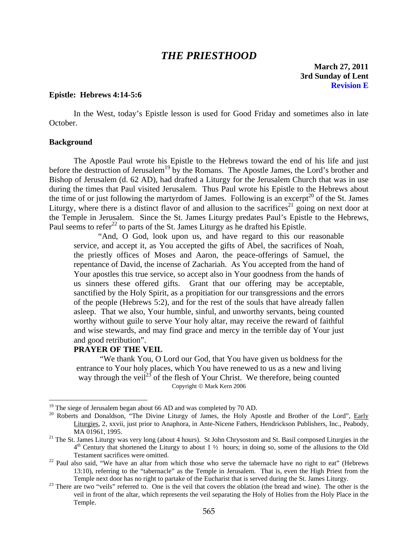## *THE PRIESTHOOD*

**March 27, 2011 3rd Sunday of Lent Revision E** 

## **Epistle: Hebrews 4:14-5:6**

 In the West, today's Epistle lesson is used for Good Friday and sometimes also in late October.

#### **Background**

 $\overline{a}$ 

The Apostle Paul wrote his Epistle to the Hebrews toward the end of his life and just before the destruction of Jerusalem<sup>19</sup> by the Romans. The Apostle James, the Lord's brother and Bishop of Jerusalem (d. 62 AD), had drafted a Liturgy for the Jerusalem Church that was in use during the times that Paul visited Jerusalem. Thus Paul wrote his Epistle to the Hebrews about the time of or just following the martyrdom of James. Following is an excerpt<sup>20</sup> of the St. James Liturgy, where there is a distinct flavor of and allusion to the sacrifices<sup>21</sup> going on next door at the Temple in Jerusalem. Since the St. James Liturgy predates Paul's Epistle to the Hebrews, Paul seems to refer<sup>22</sup> to parts of the St. James Liturgy as he drafted his Epistle.

"And, O God, look upon us, and have regard to this our reasonable service, and accept it, as You accepted the gifts of Abel, the sacrifices of Noah, the priestly offices of Moses and Aaron, the peace-offerings of Samuel, the repentance of David, the incense of Zachariah. As You accepted from the hand of Your apostles this true service, so accept also in Your goodness from the hands of us sinners these offered gifts. Grant that our offering may be acceptable, sanctified by the Holy Spirit, as a propitiation for our transgressions and the errors of the people (Hebrews 5:2), and for the rest of the souls that have already fallen asleep. That we also, Your humble, sinful, and unworthy servants, being counted worthy without guile to serve Your holy altar, may receive the reward of faithful and wise stewards, and may find grace and mercy in the terrible day of Your just and good retribution".

#### **PRAYER OF THE VEIL**

"We thank You, O Lord our God, that You have given us boldness for the entrance to Your holy places, which You have renewed to us as a new and living way through the veil<sup>23</sup> of the flesh of Your Christ. We therefore, being counted Copyright © Mark Kern 2006

 $19$  The siege of Jerusalem began about 66 AD and was completed by 70 AD.

<sup>&</sup>lt;sup>20</sup> Roberts and Donaldson, "The Divine Liturgy of James, the Holy Apostle and Brother of the Lord", <u>Early</u> Liturgies, 2, xxvii, just prior to Anaphora, in Ante-Nicene Fathers, Hendrickson Publishers, Inc., Peabody, MA 01961, 1995.<br><sup>21</sup> The St. James Liturgy was very long (about 4 hours). St John Chrysostom and St. Basil composed Liturgies in the

 $4<sup>th</sup>$  Century that shortened the Liturgy to about 1  $\frac{1}{2}$  hours; in doing so, some of the allusions to the Old Testament sacrifices were omitted.

 $22$  Paul also said, "We have an altar from which those who serve the tabernacle have no right to eat" (Hebrews 13:10), referring to the "tabernacle" as the Temple in Jerusalem. That is, even the High Priest from the

Temple next door has no right to partake of the Eucharist that is served during the St. James Liturgy. 23 There are two "veils" referred to. One is the veil that covers the oblation (the bread and wine). The other is the veil in front of the altar, which represents the veil separating the Holy of Holies from the Holy Place in the Temple.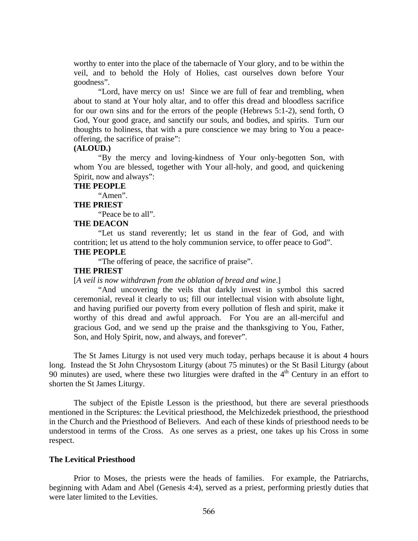worthy to enter into the place of the tabernacle of Your glory, and to be within the veil, and to behold the Holy of Holies, cast ourselves down before Your goodness".

"Lord, have mercy on us! Since we are full of fear and trembling, when about to stand at Your holy altar, and to offer this dread and bloodless sacrifice for our own sins and for the errors of the people (Hebrews 5:1-2), send forth, O God, Your good grace, and sanctify our souls, and bodies, and spirits. Turn our thoughts to holiness, that with a pure conscience we may bring to You a peaceoffering, the sacrifice of praise":

#### **(ALOUD.)**

"By the mercy and loving-kindness of Your only-begotten Son, with whom You are blessed, together with Your all-holy, and good, and quickening Spirit, now and always":

#### **THE PEOPLE**

"Amen".

#### **THE PRIEST**

"Peace be to all".

### **THE DEACON**

"Let us stand reverently; let us stand in the fear of God, and with contrition; let us attend to the holy communion service, to offer peace to God".

## **THE PEOPLE**

"The offering of peace, the sacrifice of praise".

## **THE PRIEST**

[*A veil is now withdrawn from the oblation of bread and wine*.]

"And uncovering the veils that darkly invest in symbol this sacred ceremonial, reveal it clearly to us; fill our intellectual vision with absolute light, and having purified our poverty from every pollution of flesh and spirit, make it worthy of this dread and awful approach. For You are an all-merciful and gracious God, and we send up the praise and the thanksgiving to You, Father, Son, and Holy Spirit, now, and always, and forever".

The St James Liturgy is not used very much today, perhaps because it is about 4 hours long. Instead the St John Chrysostom Liturgy (about 75 minutes) or the St Basil Liturgy (about 90 minutes) are used, where these two liturgies were drafted in the  $4<sup>th</sup>$  Century in an effort to shorten the St James Liturgy.

The subject of the Epistle Lesson is the priesthood, but there are several priesthoods mentioned in the Scriptures: the Levitical priesthood, the Melchizedek priesthood, the priesthood in the Church and the Priesthood of Believers. And each of these kinds of priesthood needs to be understood in terms of the Cross. As one serves as a priest, one takes up his Cross in some respect.

#### **The Levitical Priesthood**

Prior to Moses, the priests were the heads of families. For example, the Patriarchs, beginning with Adam and Abel (Genesis 4:4), served as a priest, performing priestly duties that were later limited to the Levities.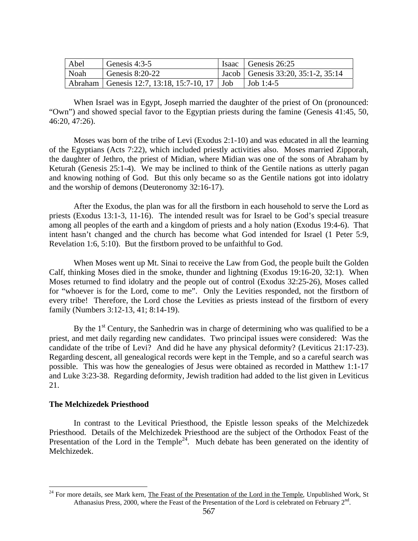| Abel | Genesis $4:3-5$                                  | Isaac Genesis $26:25$                |
|------|--------------------------------------------------|--------------------------------------|
| Noah | Genesis $8:20-22$                                | Jacob   Genesis 33:20, 35:1-2, 35:14 |
|      | Abraham   Genesis 12:7, 13:18, 15:7-10, 17   Job | Job 1:4-5                            |

When Israel was in Egypt, Joseph married the daughter of the priest of On (pronounced: "Own") and showed special favor to the Egyptian priests during the famine (Genesis 41:45, 50, 46:20, 47:26).

Moses was born of the tribe of Levi (Exodus 2:1-10) and was educated in all the learning of the Egyptians (Acts 7:22), which included priestly activities also. Moses married Zipporah, the daughter of Jethro, the priest of Midian, where Midian was one of the sons of Abraham by Keturah (Genesis 25:1-4). We may be inclined to think of the Gentile nations as utterly pagan and knowing nothing of God. But this only became so as the Gentile nations got into idolatry and the worship of demons (Deuteronomy 32:16-17).

After the Exodus, the plan was for all the firstborn in each household to serve the Lord as priests (Exodus 13:1-3, 11-16). The intended result was for Israel to be God's special treasure among all peoples of the earth and a kingdom of priests and a holy nation (Exodus 19:4-6). That intent hasn't changed and the church has become what God intended for Israel (1 Peter 5:9, Revelation 1:6, 5:10). But the firstborn proved to be unfaithful to God.

When Moses went up Mt. Sinai to receive the Law from God, the people built the Golden Calf, thinking Moses died in the smoke, thunder and lightning (Exodus 19:16-20, 32:1). When Moses returned to find idolatry and the people out of control (Exodus 32:25-26), Moses called for "whoever is for the Lord, come to me". Only the Levities responded, not the firstborn of every tribe! Therefore, the Lord chose the Levities as priests instead of the firstborn of every family (Numbers 3:12-13, 41; 8:14-19).

By the  $1<sup>st</sup>$  Century, the Sanhedrin was in charge of determining who was qualified to be a priest, and met daily regarding new candidates. Two principal issues were considered: Was the candidate of the tribe of Levi? And did he have any physical deformity? (Leviticus 21:17-23). Regarding descent, all genealogical records were kept in the Temple, and so a careful search was possible. This was how the genealogies of Jesus were obtained as recorded in Matthew 1:1-17 and Luke 3:23-38. Regarding deformity, Jewish tradition had added to the list given in Leviticus 21.

#### **The Melchizedek Priesthood**

 $\overline{a}$ 

In contrast to the Levitical Priesthood, the Epistle lesson speaks of the Melchizedek Priesthood. Details of the Melchizedek Priesthood are the subject of the Orthodox Feast of the Presentation of the Lord in the Temple<sup>24</sup>. Much debate has been generated on the identity of Melchizedek.

<sup>&</sup>lt;sup>24</sup> For more details, see Mark kern, The Feast of the Presentation of the Lord in the Temple, Unpublished Work, St Athanasius Press, 2000, where the Feast of the Presentation of the Lord is celebrated on February  $2<sup>nd</sup>$ .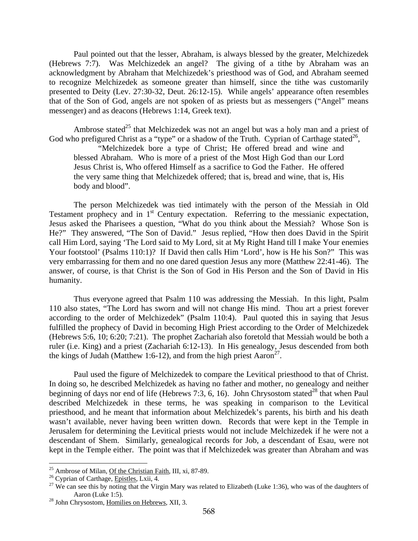Paul pointed out that the lesser, Abraham, is always blessed by the greater, Melchizedek (Hebrews 7:7). Was Melchizedek an angel? The giving of a tithe by Abraham was an acknowledgment by Abraham that Melchizedek's priesthood was of God, and Abraham seemed to recognize Melchizedek as someone greater than himself, since the tithe was customarily presented to Deity (Lev. 27:30-32, Deut. 26:12-15). While angels' appearance often resembles that of the Son of God, angels are not spoken of as priests but as messengers ("Angel" means messenger) and as deacons (Hebrews 1:14, Greek text).

Ambrose stated<sup>25</sup> that Melchizedek was not an angel but was a holy man and a priest of God who prefigured Christ as a "type" or a shadow of the Truth. Cyprian of Carthage stated<sup>26</sup>, "Melchizedek bore a type of Christ; He offered bread and wine and blessed Abraham. Who is more of a priest of the Most High God than our Lord Jesus Christ is, Who offered Himself as a sacrifice to God the Father. He offered the very same thing that Melchizedek offered; that is, bread and wine, that is, His body and blood".

The person Melchizedek was tied intimately with the person of the Messiah in Old Testament prophecy and in  $1<sup>st</sup>$  Century expectation. Referring to the messianic expectation, Jesus asked the Pharisees a question, "What do you think about the Messiah? Whose Son is He?" They answered, "The Son of David." Jesus replied, "How then does David in the Spirit call Him Lord, saying 'The Lord said to My Lord, sit at My Right Hand till I make Your enemies Your footstool' (Psalms 110:1)? If David then calls Him 'Lord', how is He his Son?" This was very embarrassing for them and no one dared question Jesus any more (Matthew 22:41-46). The answer, of course, is that Christ is the Son of God in His Person and the Son of David in His humanity.

Thus everyone agreed that Psalm 110 was addressing the Messiah. In this light, Psalm 110 also states, "The Lord has sworn and will not change His mind. Thou art a priest forever according to the order of Melchizedek" (Psalm 110:4). Paul quoted this in saying that Jesus fulfilled the prophecy of David in becoming High Priest according to the Order of Melchizedek (Hebrews 5:6, 10; 6:20; 7:21). The prophet Zachariah also foretold that Messiah would be both a ruler (i.e. King) and a priest (Zachariah 6:12-13). In His genealogy, Jesus descended from both the kings of Judah (Matthew 1:6-12), and from the high priest  $\text{Aaron}^{27}$ .

Paul used the figure of Melchizedek to compare the Levitical priesthood to that of Christ. In doing so, he described Melchizedek as having no father and mother, no genealogy and neither beginning of days nor end of life (Hebrews 7:3, 6, 16). John Chrysostom stated<sup>28</sup> that when Paul described Melchizedek in these terms, he was speaking in comparison to the Levitical priesthood, and he meant that information about Melchizedek's parents, his birth and his death wasn't available, never having been written down. Records that were kept in the Temple in Jerusalem for determining the Levitical priests would not include Melchizedek if he were not a descendant of Shem. Similarly, genealogical records for Job, a descendant of Esau, were not kept in the Temple either. The point was that if Melchizedek was greater than Abraham and was

<sup>&</sup>lt;sup>25</sup> Ambrose of Milan, <u>Of the Christian Faith</u>, III, xi, 87-89.<br><sup>26</sup> Cyprian of Carthage, <u>Epistles</u>, Lxii, 4.

<sup>&</sup>lt;sup>27</sup> We can see this by noting that the Virgin Mary was related to Elizabeth (Luke 1:36), who was of the daughters of Aaron (Luke 1:5).<br><sup>28</sup> John Chrysostom, <u>Homilies on Hebrews</u>, XII, 3.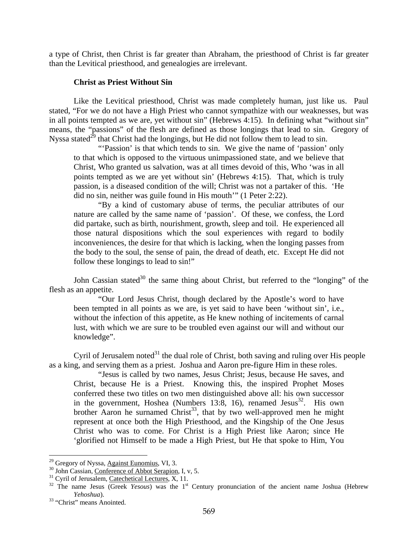a type of Christ, then Christ is far greater than Abraham, the priesthood of Christ is far greater than the Levitical priesthood, and genealogies are irrelevant.

#### **Christ as Priest Without Sin**

Like the Levitical priesthood, Christ was made completely human, just like us. Paul stated, "For we do not have a High Priest who cannot sympathize with our weaknesses, but was in all points tempted as we are, yet without sin" (Hebrews 4:15). In defining what "without sin" means, the "passions" of the flesh are defined as those longings that lead to sin. Gregory of Nyssa stated<sup>29</sup> that Christ had the longings, but He did not follow them to lead to sin.

"Passion' is that which tends to sin. We give the name of 'passion' only to that which is opposed to the virtuous unimpassioned state, and we believe that Christ, Who granted us salvation, was at all times devoid of this, Who 'was in all points tempted as we are yet without sin' (Hebrews 4:15). That, which is truly passion, is a diseased condition of the will; Christ was not a partaker of this. 'He did no sin, neither was guile found in His mouth'" (1 Peter 2:22).

"By a kind of customary abuse of terms, the peculiar attributes of our nature are called by the same name of 'passion'. Of these, we confess, the Lord did partake, such as birth, nourishment, growth, sleep and toil. He experienced all those natural dispositions which the soul experiences with regard to bodily inconveniences, the desire for that which is lacking, when the longing passes from the body to the soul, the sense of pain, the dread of death, etc. Except He did not follow these longings to lead to sin!"

John Cassian stated<sup>30</sup> the same thing about Christ, but referred to the "longing" of the flesh as an appetite.

"Our Lord Jesus Christ, though declared by the Apostle's word to have been tempted in all points as we are, is yet said to have been 'without sin', i.e., without the infection of this appetite, as He knew nothing of incitements of carnal lust, with which we are sure to be troubled even against our will and without our knowledge".

Cyril of Jerusalem noted $31$  the dual role of Christ, both saving and ruling over His people as a king, and serving them as a priest. Joshua and Aaron pre-figure Him in these roles.

"Jesus is called by two names, Jesus Christ; Jesus, because He saves, and Christ, because He is a Priest. Knowing this, the inspired Prophet Moses conferred these two titles on two men distinguished above all: his own successor in the government, Hoshea (Numbers 13:8, 16), renamed Jesus<sup>32</sup>. His own brother Aaron he surnamed Christ<sup>33</sup>, that by two well-approved men he might represent at once both the High Priesthood, and the Kingship of the One Jesus Christ who was to come. For Christ is a High Priest like Aaron; since He 'glorified not Himself to be made a High Priest, but He that spoke to Him, You

<sup>&</sup>lt;sup>29</sup> Gregory of Nyssa, Against Eunomius, VI, 3.

<sup>&</sup>lt;sup>30</sup> John Cassian, Conference of Abbot Serapion, I, v, 5.<br><sup>31</sup> Cyril of Jerusalem, <u>Catechetical Lectures</u>, X, 11.<br><sup>32</sup> The name Jesus (Greek *Yesous*) was the 1<sup>st</sup> Century pronunciation of the ancient name Joshua (Hebre *Yehoshua*). 33 "Christ" means Anointed.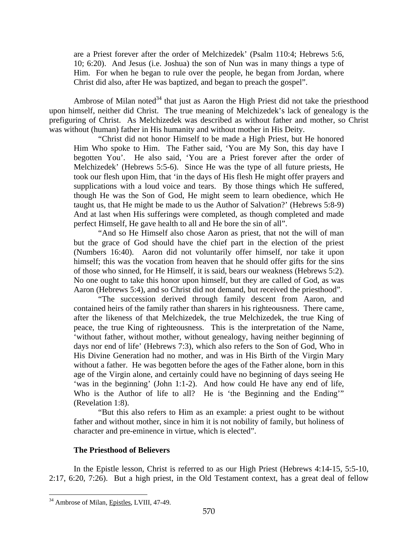are a Priest forever after the order of Melchizedek' (Psalm 110:4; Hebrews 5:6, 10; 6:20). And Jesus (i.e. Joshua) the son of Nun was in many things a type of Him. For when he began to rule over the people, he began from Jordan, where Christ did also, after He was baptized, and began to preach the gospel".

Ambrose of Milan noted $34$  that just as Aaron the High Priest did not take the priesthood upon himself, neither did Christ. The true meaning of Melchizedek's lack of genealogy is the prefiguring of Christ. As Melchizedek was described as without father and mother, so Christ was without (human) father in His humanity and without mother in His Deity.

"Christ did not honor Himself to be made a High Priest, but He honored Him Who spoke to Him. The Father said, 'You are My Son, this day have I begotten You'. He also said, 'You are a Priest forever after the order of Melchizedek' (Hebrews 5:5-6). Since He was the type of all future priests, He took our flesh upon Him, that 'in the days of His flesh He might offer prayers and supplications with a loud voice and tears. By those things which He suffered, though He was the Son of God, He might seem to learn obedience, which He taught us, that He might be made to us the Author of Salvation?' (Hebrews 5:8-9) And at last when His sufferings were completed, as though completed and made perfect Himself, He gave health to all and He bore the sin of all".

"And so He Himself also chose Aaron as priest, that not the will of man but the grace of God should have the chief part in the election of the priest (Numbers 16:40). Aaron did not voluntarily offer himself, nor take it upon himself; this was the vocation from heaven that he should offer gifts for the sins of those who sinned, for He Himself, it is said, bears our weakness (Hebrews 5:2). No one ought to take this honor upon himself, but they are called of God, as was Aaron (Hebrews 5:4), and so Christ did not demand, but received the priesthood".

"The succession derived through family descent from Aaron, and contained heirs of the family rather than sharers in his righteousness. There came, after the likeness of that Melchizedek, the true Melchizedek, the true King of peace, the true King of righteousness. This is the interpretation of the Name, 'without father, without mother, without genealogy, having neither beginning of days nor end of life' (Hebrews 7:3), which also refers to the Son of God, Who in His Divine Generation had no mother, and was in His Birth of the Virgin Mary without a father. He was begotten before the ages of the Father alone, born in this age of the Virgin alone, and certainly could have no beginning of days seeing He 'was in the beginning' (John 1:1-2). And how could He have any end of life, Who is the Author of life to all? He is 'the Beginning and the Ending'" (Revelation 1:8).

"But this also refers to Him as an example: a priest ought to be without father and without mother, since in him it is not nobility of family, but holiness of character and pre-eminence in virtue, which is elected".

## **The Priesthood of Believers**

In the Epistle lesson, Christ is referred to as our High Priest (Hebrews 4:14-15, 5:5-10, 2:17, 6:20, 7:26). But a high priest, in the Old Testament context, has a great deal of fellow

 $\overline{a}$ <sup>34</sup> Ambrose of Milan, Epistles, LVIII, 47-49.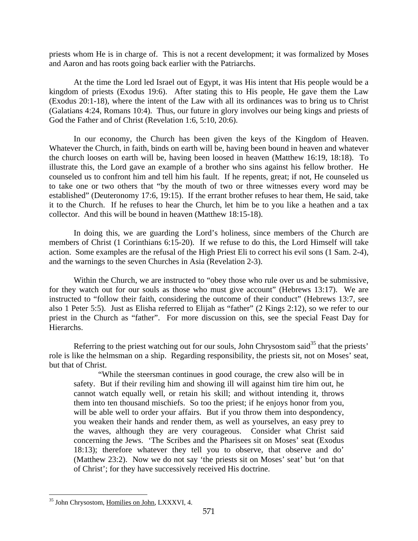priests whom He is in charge of. This is not a recent development; it was formalized by Moses and Aaron and has roots going back earlier with the Patriarchs.

At the time the Lord led Israel out of Egypt, it was His intent that His people would be a kingdom of priests (Exodus 19:6). After stating this to His people, He gave them the Law (Exodus 20:1-18), where the intent of the Law with all its ordinances was to bring us to Christ (Galatians 4:24, Romans 10:4). Thus, our future in glory involves our being kings and priests of God the Father and of Christ (Revelation 1:6, 5:10, 20:6).

In our economy, the Church has been given the keys of the Kingdom of Heaven. Whatever the Church, in faith, binds on earth will be, having been bound in heaven and whatever the church looses on earth will be, having been loosed in heaven (Matthew 16:19, 18:18). To illustrate this, the Lord gave an example of a brother who sins against his fellow brother. He counseled us to confront him and tell him his fault. If he repents, great; if not, He counseled us to take one or two others that "by the mouth of two or three witnesses every word may be established" (Deuteronomy 17:6, 19:15). If the errant brother refuses to hear them, He said, take it to the Church. If he refuses to hear the Church, let him be to you like a heathen and a tax collector. And this will be bound in heaven (Matthew 18:15-18).

In doing this, we are guarding the Lord's holiness, since members of the Church are members of Christ (1 Corinthians 6:15-20). If we refuse to do this, the Lord Himself will take action. Some examples are the refusal of the High Priest Eli to correct his evil sons (1 Sam. 2-4), and the warnings to the seven Churches in Asia (Revelation 2-3).

Within the Church, we are instructed to "obey those who rule over us and be submissive, for they watch out for our souls as those who must give account" (Hebrews 13:17). We are instructed to "follow their faith, considering the outcome of their conduct" (Hebrews 13:7, see also 1 Peter 5:5). Just as Elisha referred to Elijah as "father" (2 Kings 2:12), so we refer to our priest in the Church as "father". For more discussion on this, see the special Feast Day for Hierarchs.

Referring to the priest watching out for our souls, John Chrysostom said<sup>35</sup> that the priests' role is like the helmsman on a ship. Regarding responsibility, the priests sit, not on Moses' seat, but that of Christ.

"While the steersman continues in good courage, the crew also will be in safety. But if their reviling him and showing ill will against him tire him out, he cannot watch equally well, or retain his skill; and without intending it, throws them into ten thousand mischiefs. So too the priest; if he enjoys honor from you, will be able well to order your affairs. But if you throw them into despondency, you weaken their hands and render them, as well as yourselves, an easy prey to the waves, although they are very courageous. Consider what Christ said concerning the Jews. 'The Scribes and the Pharisees sit on Moses' seat (Exodus 18:13); therefore whatever they tell you to observe, that observe and do' (Matthew 23:2). Now we do not say 'the priests sit on Moses' seat' but 'on that of Christ'; for they have successively received His doctrine.

 $\overline{a}$ 35 John Chrysostom, Homilies on John, LXXXVI, 4.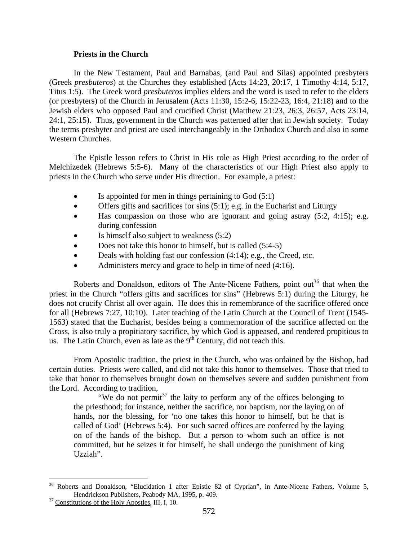#### **Priests in the Church**

In the New Testament, Paul and Barnabas, (and Paul and Silas) appointed presbyters (Greek *presbuteros*) at the Churches they established (Acts 14:23, 20:17, 1 Timothy 4:14, 5:17, Titus 1:5). The Greek word *presbuteros* implies elders and the word is used to refer to the elders (or presbyters) of the Church in Jerusalem (Acts 11:30, 15:2-6, 15:22-23, 16:4, 21:18) and to the Jewish elders who opposed Paul and crucified Christ (Matthew 21:23, 26:3, 26:57, Acts 23:14, 24:1, 25:15). Thus, government in the Church was patterned after that in Jewish society. Today the terms presbyter and priest are used interchangeably in the Orthodox Church and also in some Western Churches.

The Epistle lesson refers to Christ in His role as High Priest according to the order of Melchizedek (Hebrews 5:5-6). Many of the characteristics of our High Priest also apply to priests in the Church who serve under His direction. For example, a priest:

- Is appointed for men in things pertaining to  $God(5:1)$
- Offers gifts and sacrifices for sins  $(5:1)$ ; e.g. in the Eucharist and Liturgy
- Has compassion on those who are ignorant and going astray  $(5:2, 4:15)$ ; e.g. during confession
- Is himself also subject to weakness (5:2)
- Does not take this honor to himself, but is called (5:4-5)
- Deals with holding fast our confession (4:14); e.g., the Creed, etc.
- Administers mercy and grace to help in time of need  $(4:16)$ .

Roberts and Donaldson, editors of The Ante-Nicene Fathers, point out<sup>36</sup> that when the priest in the Church "offers gifts and sacrifices for sins" (Hebrews 5:1) during the Liturgy, he does not crucify Christ all over again. He does this in remembrance of the sacrifice offered once for all (Hebrews 7:27, 10:10). Later teaching of the Latin Church at the Council of Trent (1545- 1563) stated that the Eucharist, besides being a commemoration of the sacrifice affected on the Cross, is also truly a propitiatory sacrifice, by which God is appeased, and rendered propitious to us. The Latin Church, even as late as the  $9<sup>th</sup>$  Century, did not teach this.

From Apostolic tradition, the priest in the Church, who was ordained by the Bishop, had certain duties. Priests were called, and did not take this honor to themselves. Those that tried to take that honor to themselves brought down on themselves severe and sudden punishment from the Lord. According to tradition,

"We do not permit<sup>37</sup> the laity to perform any of the offices belonging to the priesthood; for instance, neither the sacrifice, nor baptism, nor the laying on of hands, nor the blessing, for 'no one takes this honor to himself, but he that is called of God' (Hebrews 5:4). For such sacred offices are conferred by the laying on of the hands of the bishop. But a person to whom such an office is not committed, but he seizes it for himself, he shall undergo the punishment of king Uzziah".

 $\overline{a}$ <sup>36</sup> Roberts and Donaldson, "Elucidation 1 after Epistle 82 of Cyprian", in Ante-Nicene Fathers, Volume 5, Hendrickson Publishers, Peabody MA, 1995, p. 409.<br><sup>37</sup> Constitutions of the Holy Apostles, III, I, 10.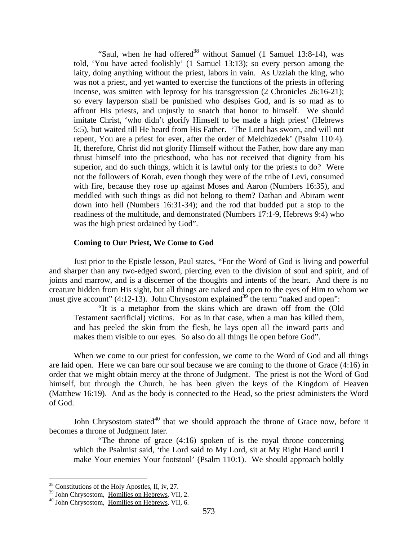"Saul, when he had offered<sup>38</sup> without Samuel (1 Samuel 13:8-14), was told, 'You have acted foolishly' (1 Samuel 13:13); so every person among the laity, doing anything without the priest, labors in vain. As Uzziah the king, who was not a priest, and yet wanted to exercise the functions of the priests in offering incense, was smitten with leprosy for his transgression (2 Chronicles 26:16-21); so every layperson shall be punished who despises God, and is so mad as to affront His priests, and unjustly to snatch that honor to himself. We should imitate Christ, 'who didn't glorify Himself to be made a high priest' (Hebrews 5:5), but waited till He heard from His Father. 'The Lord has sworn, and will not repent, You are a priest for ever, after the order of Melchizedek' (Psalm 110:4). If, therefore, Christ did not glorify Himself without the Father, how dare any man thrust himself into the priesthood, who has not received that dignity from his superior, and do such things, which it is lawful only for the priests to do? Were not the followers of Korah, even though they were of the tribe of Levi, consumed with fire, because they rose up against Moses and Aaron (Numbers 16:35), and meddled with such things as did not belong to them? Dathan and Abiram went down into hell (Numbers 16:31-34); and the rod that budded put a stop to the readiness of the multitude, and demonstrated (Numbers 17:1-9, Hebrews 9:4) who was the high priest ordained by God".

#### **Coming to Our Priest, We Come to God**

Just prior to the Epistle lesson, Paul states, "For the Word of God is living and powerful and sharper than any two-edged sword, piercing even to the division of soul and spirit, and of joints and marrow, and is a discerner of the thoughts and intents of the heart. And there is no creature hidden from His sight, but all things are naked and open to the eyes of Him to whom we must give account"  $(4:12-13)$ . John Chrysostom explained<sup>39</sup> the term "naked and open":

"It is a metaphor from the skins which are drawn off from the (Old Testament sacrificial) victims. For as in that case, when a man has killed them, and has peeled the skin from the flesh, he lays open all the inward parts and makes them visible to our eyes. So also do all things lie open before God".

When we come to our priest for confession, we come to the Word of God and all things are laid open. Here we can bare our soul because we are coming to the throne of Grace (4:16) in order that we might obtain mercy at the throne of Judgment. The priest is not the Word of God himself, but through the Church, he has been given the keys of the Kingdom of Heaven (Matthew 16:19). And as the body is connected to the Head, so the priest administers the Word of God.

John Chrysostom stated<sup>40</sup> that we should approach the throne of Grace now, before it becomes a throne of Judgment later.

"The throne of grace (4:16) spoken of is the royal throne concerning which the Psalmist said, 'the Lord said to My Lord, sit at My Right Hand until I make Your enemies Your footstool' (Psalm 110:1). We should approach boldly

 $38$  Constitutions of the Holy Apostles, II, iv, 27.

 $39$  John Chrysostom, Homilies on Hebrews, VII, 2.  $40$  John Chrysostom, Homilies on Hebrews, VII, 6.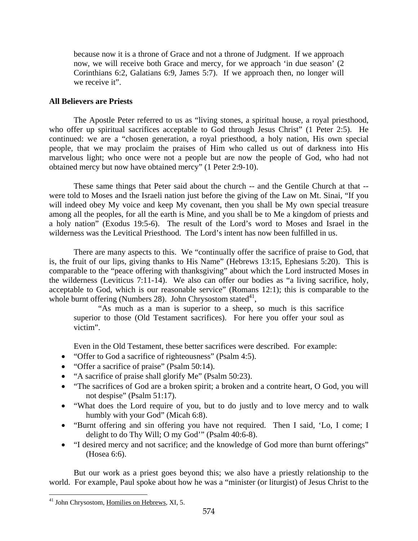because now it is a throne of Grace and not a throne of Judgment. If we approach now, we will receive both Grace and mercy, for we approach 'in due season' (2 Corinthians 6:2, Galatians 6:9, James 5:7). If we approach then, no longer will we receive it".

## **All Believers are Priests**

The Apostle Peter referred to us as "living stones, a spiritual house, a royal priesthood, who offer up spiritual sacrifices acceptable to God through Jesus Christ" (1 Peter 2:5). He continued: we are a "chosen generation, a royal priesthood, a holy nation, His own special people, that we may proclaim the praises of Him who called us out of darkness into His marvelous light; who once were not a people but are now the people of God, who had not obtained mercy but now have obtained mercy" (1 Peter 2:9-10).

These same things that Peter said about the church -- and the Gentile Church at that - were told to Moses and the Israeli nation just before the giving of the Law on Mt. Sinai, "If you will indeed obey My voice and keep My covenant, then you shall be My own special treasure among all the peoples, for all the earth is Mine, and you shall be to Me a kingdom of priests and a holy nation" (Exodus 19:5-6). The result of the Lord's word to Moses and Israel in the wilderness was the Levitical Priesthood. The Lord's intent has now been fulfilled in us.

There are many aspects to this. We "continually offer the sacrifice of praise to God, that is, the fruit of our lips, giving thanks to His Name" (Hebrews 13:15, Ephesians 5:20). This is comparable to the "peace offering with thanksgiving" about which the Lord instructed Moses in the wilderness (Leviticus 7:11-14). We also can offer our bodies as "a living sacrifice, holy, acceptable to God, which is our reasonable service" (Romans 12:1); this is comparable to the whole burnt offering (Numbers 28). John Chrysostom stated $41$ ,

"As much as a man is superior to a sheep, so much is this sacrifice superior to those (Old Testament sacrifices). For here you offer your soul as victim".

Even in the Old Testament, these better sacrifices were described. For example:

- "Offer to God a sacrifice of righteousness" (Psalm 4:5).
- "Offer a sacrifice of praise" (Psalm 50:14).
- "A sacrifice of praise shall glorify Me" (Psalm 50:23).
- "The sacrifices of God are a broken spirit; a broken and a contrite heart, O God, you will not despise" (Psalm 51:17).
- "What does the Lord require of you, but to do justly and to love mercy and to walk humbly with your God" (Micah 6:8).
- "Burnt offering and sin offering you have not required. Then I said, 'Lo, I come; I delight to do Thy Will; O my God'" (Psalm 40:6-8).
- "I desired mercy and not sacrifice; and the knowledge of God more than burnt offerings" (Hosea 6:6).

But our work as a priest goes beyond this; we also have a priestly relationship to the world. For example, Paul spoke about how he was a "minister (or liturgist) of Jesus Christ to the

<sup>41</sup> John Chrysostom, Homilies on Hebrews, XI, 5.